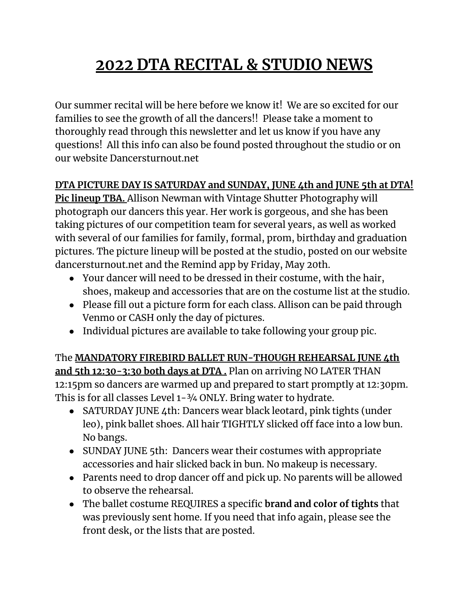## **2022 DTA RECITAL & STUDIO NEWS**

Our summer recital will be here before we know it! We are so excited for our families to see the growth of all the dancers!! Please take a moment to thoroughly read through this newsletter and let us know if you have any questions! All this info can also be found posted throughout the studio or on our website Dancersturnout.net

## **DTA PICTURE DAY IS SATURDAY and SUNDAY, JUNE 4th and JUNE 5th at DTA!**

**Pic lineup TBA.** Allison Newman with Vintage Shutter Photography will photograph our dancers this year. Her work is gorgeous, and she has been taking pictures of our competition team for several years, as well as worked with several of our families for family, formal, prom, birthday and graduation pictures. The picture lineup will be posted at the studio, posted on our website dancersturnout.net and the Remind app by Friday, May 20th.

- Your dancer will need to be dressed in their costume, with the hair, shoes, makeup and accessories that are on the costume list at the studio.
- Please fill out a picture form for each class. Allison can be paid through Venmo or CASH only the day of pictures.
- Individual pictures are available to take following your group pic.

The **MANDATORY FIREBIRD BALLET RUN-THOUGH REHEARSAL JUNE 4th and 5th 12:30-3:30 both days at DTA .** Plan on arriving NO LATER THAN 12:15pm so dancers are warmed up and prepared to start promptly at 12:30pm. This is for all classes Level 1-3/4 ONLY. Bring water to hydrate.

- SATURDAY JUNE 4th: Dancers wear black leotard, pink tights (under leo), pink ballet shoes. All hair TIGHTLY slicked off face into a low bun. No bangs.
- SUNDAY JUNE 5th: Dancers wear their costumes with appropriate accessories and hair slicked back in bun. No makeup is necessary.
- Parents need to drop dancer off and pick up. No parents will be allowed to observe the rehearsal.
- The ballet costume REQUIRES a specific **brand and color of tights** that was previously sent home. If you need that info again, please see the front desk, or the lists that are posted.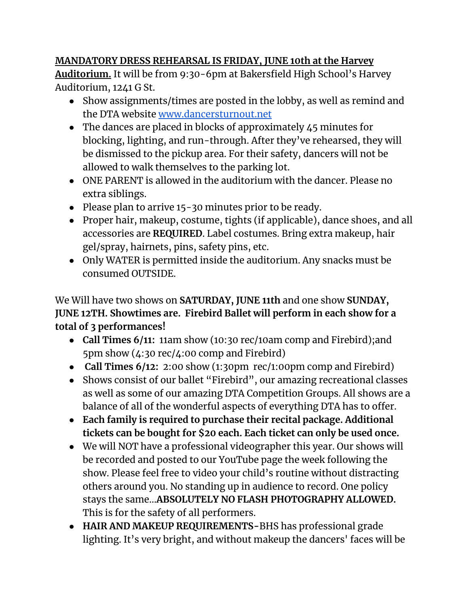## **MANDATORY DRESS REHEARSAL IS FRIDAY, JUNE 10th at the Harvey**

**Auditorium.** It will be from 9:30-6pm at Bakersfield High School's Harvey Auditorium, 1241 G St.

- Show assignments/times are posted in the lobby, as well as remind and the DTA website [www.dancersturnout.net](http://www.dancersturnout.net)
- The dances are placed in blocks of approximately  $\angle$  5 minutes for blocking, lighting, and run-through. After they've rehearsed, they will be dismissed to the pickup area. For their safety, dancers will not be allowed to walk themselves to the parking lot.
- ONE PARENT is allowed in the auditorium with the dancer. Please no extra siblings.
- Please plan to arrive 15-30 minutes prior to be ready.
- Proper hair, makeup, costume, tights (if applicable), dance shoes, and all accessories are **REQUIRED**. Label costumes. Bring extra makeup, hair gel/spray, hairnets, pins, safety pins, etc.
- Only WATER is permitted inside the auditorium. Any snacks must be consumed OUTSIDE.

We Will have two shows on **SATURDAY, JUNE 11th** and one show **SUNDAY, JUNE 12TH. Showtimes are. Firebird Ballet will perform in each show for a total of 3 performances!**

- **Call Times 6/11:** 11am show (10:30 rec/10am comp and Firebird);and 5pm show (4:30 rec/4:00 comp and Firebird)
- **Call Times 6/12:** 2:00 show (1:30pm rec/1:00pm comp and Firebird)
- Shows consist of our ballet "Firebird", our amazing recreational classes as well as some of our amazing DTA Competition Groups. All shows are a balance of all of the wonderful aspects of everything DTA has to offer.
- **Each family is required to purchase their recital package. Additional tickets can be bought for \$20 each. Each ticket can only be used once.**
- We will NOT have a professional videographer this year. Our shows will be recorded and posted to our YouTube page the week following the show. Please feel free to video your child's routine without distracting others around you. No standing up in audience to record. One policy stays the same...**ABSOLUTELY NO FLASH PHOTOGRAPHY ALLOWED.** This is for the safety of all performers.
- **● HAIR AND MAKEUP REQUIREMENTS-**BHS has professional grade lighting. It's very bright, and without makeup the dancers' faces will be